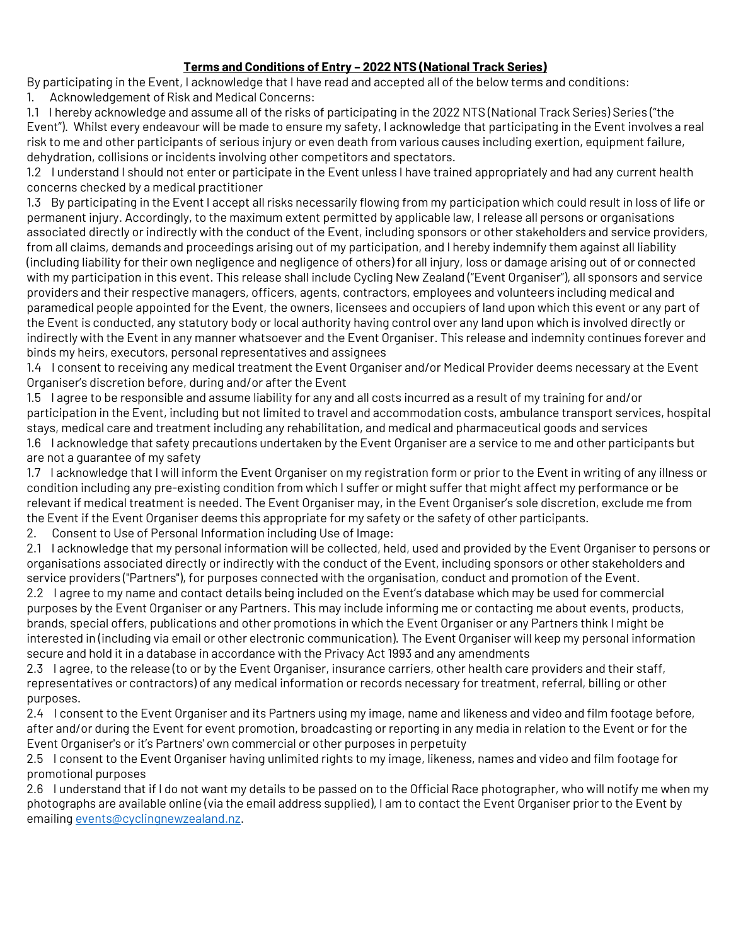## **Terms and Conditions of Entry – 2022 NTS (National Track Series)**

By participating in the Event, I acknowledge that I have read and accepted all of the below terms and conditions: 1. Acknowledgement of Risk and Medical Concerns:

1.1 I hereby acknowledge and assume all of the risks of participating in the 2022 NTS (National Track Series) Series ("the Event"). Whilst every endeavour will be made to ensure my safety, I acknowledge that participating in the Event involves a real risk to me and other participants of serious injury or even death from various causes including exertion, equipment failure, dehydration, collisions or incidents involving other competitors and spectators.

1.2 I understand I should not enter or participate in the Event unless I have trained appropriately and had any current health concerns checked by a medical practitioner

1.3 By participating in the Event I accept all risks necessarily flowing from my participation which could result in loss of life or permanent injury. Accordingly, to the maximum extent permitted by applicable law, I release all persons or organisations associated directly or indirectly with the conduct of the Event, including sponsors or other stakeholders and service providers, from all claims, demands and proceedings arising out of my participation, and I hereby indemnify them against all liability (including liability for their own negligence and negligence of others) for all injury, loss or damage arising out of or connected with my participation in this event. This release shall include Cycling New Zealand ("Event Organiser"), all sponsors and service providers and their respective managers, officers, agents, contractors, employees and volunteers including medical and paramedical people appointed for the Event, the owners, licensees and occupiers of land upon which this event or any part of the Event is conducted, any statutory body or local authority having control over any land upon which is involved directly or indirectly with the Event in any manner whatsoever and the Event Organiser. This release and indemnity continues forever and binds my heirs, executors, personal representatives and assignees

1.4 I consent to receiving any medical treatment the Event Organiser and/or Medical Provider deems necessary at the Event Organiser's discretion before, during and/or after the Event

1.5 I agree to be responsible and assume liability for any and all costs incurred as a result of my training for and/or participation in the Event, including but not limited to travel and accommodation costs, ambulance transport services, hospital stays, medical care and treatment including any rehabilitation, and medical and pharmaceutical goods and services 1.6 I acknowledge that safety precautions undertaken by the Event Organiser are a service to me and other participants but are not a guarantee of my safety

1.7 I acknowledge that I will inform the Event Organiser on my registration form or prior to the Event in writing of any illness or condition including any pre-existing condition from which I suffer or might suffer that might affect my performance or be relevant if medical treatment is needed. The Event Organiser may, in the Event Organiser's sole discretion, exclude me from the Event if the Event Organiser deems this appropriate for my safety or the safety of other participants.

2. Consent to Use of Personal Information including Use of Image:

2.1 I acknowledge that my personal information will be collected, held, used and provided by the Event Organiser to persons or organisations associated directly or indirectly with the conduct of the Event, including sponsors or other stakeholders and service providers ("Partners"), for purposes connected with the organisation, conduct and promotion of the Event.

2.2 I agree to my name and contact details being included on the Event's database which may be used for commercial purposes by the Event Organiser or any Partners. This may include informing me or contacting me about events, products, brands, special offers, publications and other promotions in which the Event Organiser or any Partners think I might be interested in (including via email or other electronic communication). The Event Organiser will keep my personal information secure and hold it in a database in accordance with the Privacy Act 1993 and any amendments

2.3 I agree, to the release (to or by the Event Organiser, insurance carriers, other health care providers and their staff, representatives or contractors) of any medical information or records necessary for treatment, referral, billing or other purposes.

2.4 I consent to the Event Organiser and its Partners using my image, name and likeness and video and film footage before, after and/or during the Event for event promotion, broadcasting or reporting in any media in relation to the Event or for the Event Organiser's or it's Partners' own commercial or other purposes in perpetuity

2.5 I consent to the Event Organiser having unlimited rights to my image, likeness, names and video and film footage for promotional purposes

2.6 I understand that if I do not want my details to be passed on to the Official Race photographer, who will notify me when my photographs are available online (via the email address supplied), I am to contact the Event Organiser prior to the Event by emailin[g events@cyclingnewzealand.nz.](mailto:events@cyclingnewzealand.nz)